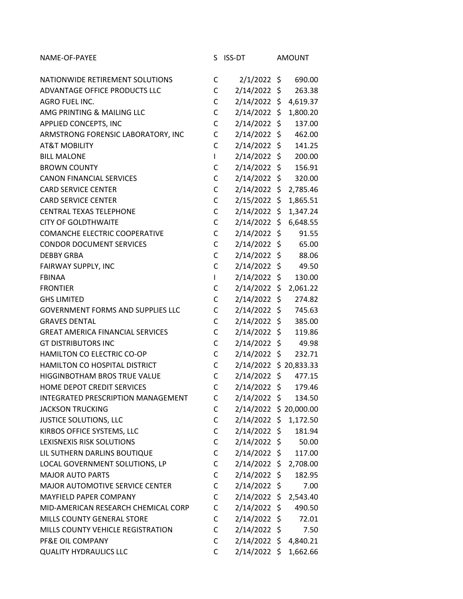| NAME-OF-PAYEE                            | S            | <b>ISS-DT</b>          | <b>AMOUNT</b>  |
|------------------------------------------|--------------|------------------------|----------------|
| NATIONWIDE RETIREMENT SOLUTIONS          | C            | $2/1/2022$ \$          | 690.00         |
| ADVANTAGE OFFICE PRODUCTS LLC            | C            | $2/14/2022$ \$         | 263.38         |
| <b>AGRO FUEL INC.</b>                    | С            | 2/14/2022              | \$<br>4,619.37 |
| AMG PRINTING & MAILING LLC               | C            | 2/14/2022 \$           | 1,800.20       |
| APPLIED CONCEPTS, INC                    | C            | 2/14/2022 \$           | 137.00         |
| ARMSTRONG FORENSIC LABORATORY, INC       | C            | $2/14/2022$ \$         | 462.00         |
| <b>AT&amp;T MOBILITY</b>                 | C            | $2/14/2022$ \$         | 141.25         |
| <b>BILL MALONE</b>                       | L            | $2/14/2022$ \$         | 200.00         |
| <b>BROWN COUNTY</b>                      | C            | $2/14/2022$ \$         | 156.91         |
| <b>CANON FINANCIAL SERVICES</b>          | C            | 2/14/2022 \$           | 320.00         |
| <b>CARD SERVICE CENTER</b>               | C            | 2/14/2022 \$ 2,785.46  |                |
| <b>CARD SERVICE CENTER</b>               | C            | 2/15/2022 \$           | 1,865.51       |
| <b>CENTRAL TEXAS TELEPHONE</b>           | C            | 2/14/2022 \$           | 1,347.24       |
| <b>CITY OF GOLDTHWAITE</b>               | C            | $2/14/2022$ \$         | 6,648.55       |
| COMANCHE ELECTRIC COOPERATIVE            | C            | $2/14/2022$ \$         | 91.55          |
| <b>CONDOR DOCUMENT SERVICES</b>          | $\mathsf{C}$ | 2/14/2022 \$           | 65.00          |
| <b>DEBBY GRBA</b>                        | C            | $2/14/2022$ \$         | 88.06          |
| FAIRWAY SUPPLY, INC                      | $\mathsf{C}$ | $2/14/2022$ \$         | 49.50          |
| <b>FBINAA</b>                            | L            | 2/14/2022 \$           | 130.00         |
| <b>FRONTIER</b>                          | C            | $2/14/2022$ \$         | 2,061.22       |
| <b>GHS LIMITED</b>                       | C            | 2/14/2022 \$           | 274.82         |
| <b>GOVERNMENT FORMS AND SUPPLIES LLC</b> | C            | 2/14/2022 \$           | 745.63         |
| <b>GRAVES DENTAL</b>                     | C            | 2/14/2022 \$           | 385.00         |
| <b>GREAT AMERICA FINANCIAL SERVICES</b>  | C            | $2/14/2022$ \$         | 119.86         |
| <b>GT DISTRIBUTORS INC</b>               | C            | $2/14/2022$ \$         | 49.98          |
| HAMILTON CO ELECTRIC CO-OP               | C            | 2/14/2022 \$           | 232.71         |
| HAMILTON CO HOSPITAL DISTRICT            | C            | 2/14/2022 \$ 20,833.33 |                |
| HIGGINBOTHAM BROS TRUE VALUE             | $\mathsf{C}$ | 2/14/2022 \$           | 477.15         |
| HOME DEPOT CREDIT SERVICES               | C            | 2/14/2022 \$           | 179.46         |
| INTEGRATED PRESCRIPTION MANAGEMENT       | С            | 2/14/2022 \$           | 134.50         |
| <b>JACKSON TRUCKING</b>                  | C            | 2/14/2022 \$ 20,000.00 |                |
| <b>JUSTICE SOLUTIONS, LLC</b>            | C            | 2/14/2022 \$ 1,172.50  |                |
| KIRBOS OFFICE SYSTEMS, LLC               | С            | 2/14/2022 \$           | 181.94         |
| LEXISNEXIS RISK SOLUTIONS                | С            | 2/14/2022 \$           | 50.00          |
| LIL SUTHERN DARLINS BOUTIQUE             | C            | 2/14/2022 \$           | 117.00         |
| LOCAL GOVERNMENT SOLUTIONS, LP           | С            | 2/14/2022 \$ 2,708.00  |                |
| <b>MAJOR AUTO PARTS</b>                  | C            | 2/14/2022 \$           | 182.95         |
| MAJOR AUTOMOTIVE SERVICE CENTER          | C            | 2/14/2022 \$           | 7.00           |
| MAYFIELD PAPER COMPANY                   | С            | 2/14/2022 \$           | 2,543.40       |
| MID-AMERICAN RESEARCH CHEMICAL CORP      | C            | 2/14/2022 \$           | 490.50         |
| MILLS COUNTY GENERAL STORE               | С            | 2/14/2022 \$           | 72.01          |
| MILLS COUNTY VEHICLE REGISTRATION        | C            | $2/14/2022$ \$         | 7.50           |
| PF&E OIL COMPANY                         | C            | 2/14/2022 \$ 4,840.21  |                |
| <b>QUALITY HYDRAULICS LLC</b>            | C            | 2/14/2022 \$ 1,662.66  |                |
|                                          |              |                        |                |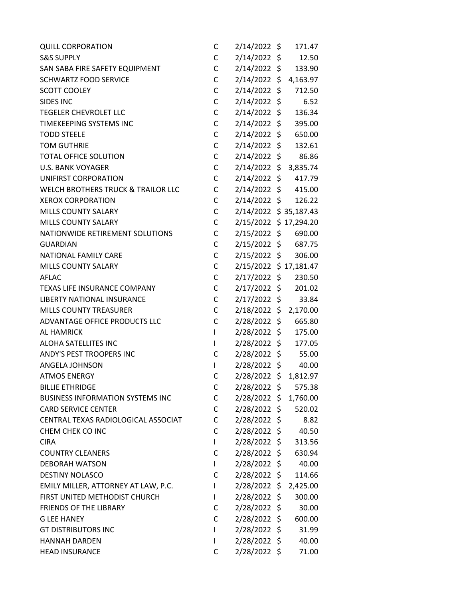| <b>QUILL CORPORATION</b>                      | С            | 2/14/2022 \$          | 171.47   |
|-----------------------------------------------|--------------|-----------------------|----------|
| <b>S&amp;S SUPPLY</b>                         | С            | 2/14/2022 \$          | 12.50    |
| SAN SABA FIRE SAFETY EQUIPMENT                | C            | 2/14/2022 \$          | 133.90   |
| <b>SCHWARTZ FOOD SERVICE</b>                  | C            | $2/14/2022$ \$        | 4,163.97 |
| <b>SCOTT COOLEY</b>                           | C            | 2/14/2022 \$          | 712.50   |
| SIDES INC                                     | C            | 2/14/2022 \$          | 6.52     |
| <b>TEGELER CHEVROLET LLC</b>                  | C            | 2/14/2022 \$          | 136.34   |
| TIMEKEEPING SYSTEMS INC                       | C            | 2/14/2022 \$          | 395.00   |
| <b>TODD STEELE</b>                            | C            | 2/14/2022 \$          | 650.00   |
| <b>TOM GUTHRIE</b>                            | $\mathsf C$  | 2/14/2022 \$          | 132.61   |
| <b>TOTAL OFFICE SOLUTION</b>                  | C            | 2/14/2022 \$          | 86.86    |
| <b>U.S. BANK VOYAGER</b>                      | C            | 2/14/2022 \$ 3,835.74 |          |
| UNIFIRST CORPORATION                          | C            | 2/14/2022 \$          | 417.79   |
| <b>WELCH BROTHERS TRUCK &amp; TRAILOR LLC</b> | $\mathsf C$  | 2/14/2022 \$          | 415.00   |
| <b>XEROX CORPORATION</b>                      | C            | 2/14/2022 \$          | 126.22   |
| MILLS COUNTY SALARY                           | C            | 2/14/2022 \$35,187.43 |          |
| <b>MILLS COUNTY SALARY</b>                    | $\mathsf{C}$ | 2/15/2022 \$17,294.20 |          |
| NATIONWIDE RETIREMENT SOLUTIONS               | C            | 2/15/2022 \$          | 690.00   |
| <b>GUARDIAN</b>                               | C            | 2/15/2022 \$          | 687.75   |
| NATIONAL FAMILY CARE                          | C            | 2/15/2022 \$          | 306.00   |
| MILLS COUNTY SALARY                           | C            | 2/15/2022 \$17,181.47 |          |
| AFLAC                                         | $\mathsf C$  | 2/17/2022 \$          | 230.50   |
| TEXAS LIFE INSURANCE COMPANY                  | C            | 2/17/2022 \$          | 201.02   |
| LIBERTY NATIONAL INSURANCE                    | $\mathsf C$  | 2/17/2022 \$          | 33.84    |
| <b>MILLS COUNTY TREASURER</b>                 | C            | 2/18/2022 \$ 2,170.00 |          |
| ADVANTAGE OFFICE PRODUCTS LLC                 | $\mathsf{C}$ | $2/28/2022$ \$        | 665.80   |
| <b>AL HAMRICK</b>                             | $\mathsf{L}$ | 2/28/2022 \$          | 175.00   |
| ALOHA SATELLITES INC                          | L            | 2/28/2022 \$          | 177.05   |
| ANDY'S PEST TROOPERS INC                      | C            | 2/28/2022 \$ 55.00    |          |
| ANGELA JOHNSON                                | L            | 2/28/2022 \$          | 40.00    |
| <b>ATMOS ENERGY</b>                           | C            | 2/28/2022 \$          | 1,812.97 |
| <b>BILLIE ETHRIDGE</b>                        | С            | 2/28/2022 \$          | 575.38   |
| <b>BUSINESS INFORMATION SYSTEMS INC</b>       | С            | 2/28/2022 \$ 1,760.00 |          |
| <b>CARD SERVICE CENTER</b>                    | C            | 2/28/2022 \$          | 520.02   |
| CENTRAL TEXAS RADIOLOGICAL ASSOCIAT           | C            | 2/28/2022 \$          | 8.82     |
| CHEM CHEK CO INC                              | C            | 2/28/2022 \$          | 40.50    |
| <b>CIRA</b>                                   | L            | 2/28/2022 \$          | 313.56   |
| <b>COUNTRY CLEANERS</b>                       | C            | 2/28/2022 \$          | 630.94   |
| <b>DEBORAH WATSON</b>                         | L            | 2/28/2022 \$          | 40.00    |
| <b>DESTINY NOLASCO</b>                        | С            | $2/28/2022$ \$        | 114.66   |
| EMILY MILLER, ATTORNEY AT LAW, P.C.           | L            | $2/28/2022$ \$        | 2,425.00 |
| FIRST UNITED METHODIST CHURCH                 | L            | 2/28/2022 \$          | 300.00   |
| <b>FRIENDS OF THE LIBRARY</b>                 | С            | 2/28/2022 \$          | 30.00    |
| <b>G LEE HANEY</b>                            | С            | 2/28/2022 \$          | 600.00   |
| <b>GT DISTRIBUTORS INC</b>                    | L            | $2/28/2022$ \$        | 31.99    |
| <b>HANNAH DARDEN</b>                          | L            | 2/28/2022 \$          | 40.00    |
| <b>HEAD INSURANCE</b>                         | C            | 2/28/2022 \$          | 71.00    |